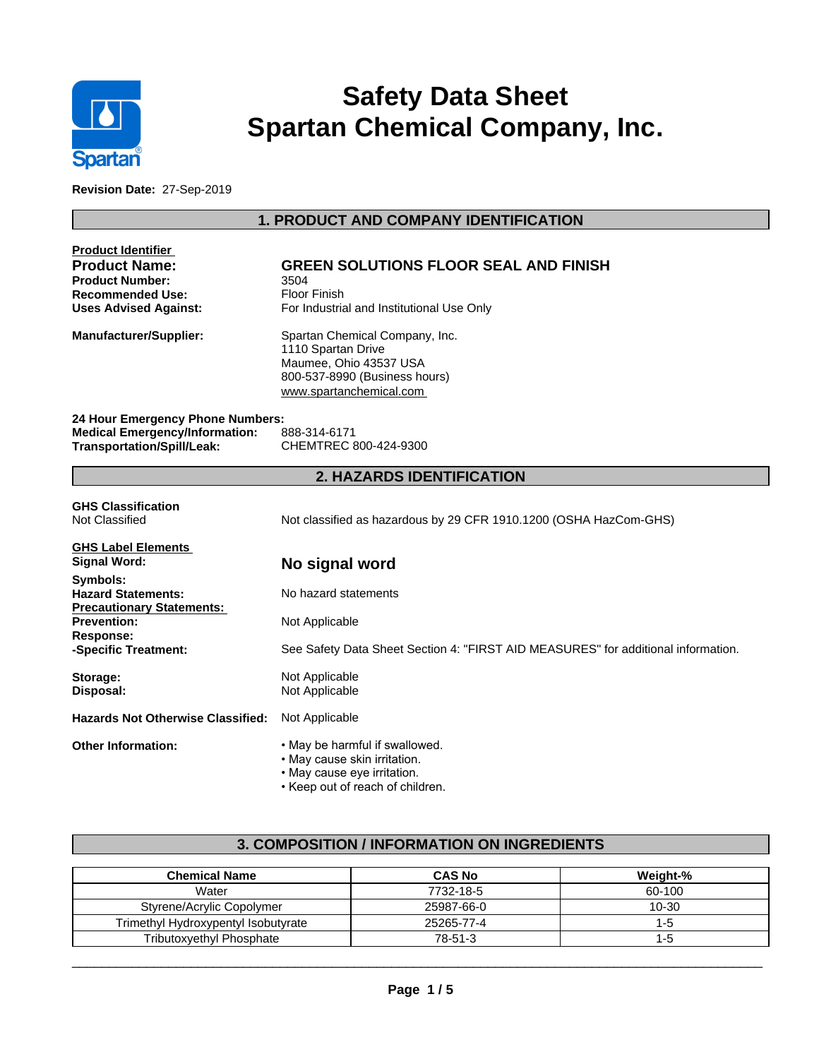

# **Safety Data Sheet Spartan Chemical Company, Inc.**

**Revision Date:** 27-Sep-2019

# **1. PRODUCT AND COMPANY IDENTIFICATION**

| Product Identifier<br><b>Product Name:</b><br><b>Product Number:</b><br><b>Recommended Use:</b> | <b>GREEN SOLUTIONS FLOOR SEAL AND FINISH</b><br>3504<br><b>Floor Finish</b>                                                                |  |  |  |
|-------------------------------------------------------------------------------------------------|--------------------------------------------------------------------------------------------------------------------------------------------|--|--|--|
| <b>Uses Advised Against:</b>                                                                    | For Industrial and Institutional Use Only                                                                                                  |  |  |  |
| Manufacturer/Supplier:                                                                          | Spartan Chemical Company, Inc.<br>1110 Spartan Drive<br>Maumee, Ohio 43537 USA<br>800-537-8990 (Business hours)<br>www.spartanchemical.com |  |  |  |
| 24 Hour Emergency Phone Numbers:                                                                |                                                                                                                                            |  |  |  |
| <b>Medical Emergency/Information:</b><br>Transportation/Spill/Leak:                             | 888-314-6171<br>CHEMTREC 800-424-9300                                                                                                      |  |  |  |
|                                                                                                 | <b>2. HAZARDS IDENTIFICATION</b>                                                                                                           |  |  |  |
| <b>GHS Classification</b><br>Not Classified                                                     | Not classified as hazardous by 29 CFR 1910.1200 (OSHA HazCom-GHS)                                                                          |  |  |  |
| <b>GHS Label Elements</b><br>Signal Word:                                                       | No signal word                                                                                                                             |  |  |  |
| Symbols:<br><b>Hazard Statements:</b><br><b>Precautionary Statements:</b>                       | No hazard statements                                                                                                                       |  |  |  |
| <b>Prevention:</b><br><b>Response:</b>                                                          | Not Applicable                                                                                                                             |  |  |  |
| -Specific Treatment:                                                                            | See Safety Data Sheet Section 4: "FIRST AID MEASURES" for additional information.                                                          |  |  |  |
| Storage:<br>Disposal:                                                                           | Not Applicable<br>Not Applicable                                                                                                           |  |  |  |
| <b>Hazards Not Otherwise Classified:</b>                                                        | Not Applicable                                                                                                                             |  |  |  |
| <b>Other Information:</b>                                                                       | . May be harmful if swallowed.<br>• May cause skin irritation.<br>• May cause eye irritation.<br>• Keep out of reach of children.          |  |  |  |

# **3. COMPOSITION / INFORMATION ON INGREDIENTS**

| <b>Chemical Name</b>                | <b>CAS No</b> | Weight-% |
|-------------------------------------|---------------|----------|
| Water                               | 7732-18-5     | 60-100   |
| Styrene/Acrylic Copolymer           | 25987-66-0    | 10-30    |
| Trimethyl Hydroxypentyl Isobutyrate | 25265-77-4    | 1-5      |
| <b>Tributoxyethyl Phosphate</b>     | 78-51-3       | 1-5      |

 $\overline{\phantom{a}}$  ,  $\overline{\phantom{a}}$  ,  $\overline{\phantom{a}}$  ,  $\overline{\phantom{a}}$  ,  $\overline{\phantom{a}}$  ,  $\overline{\phantom{a}}$  ,  $\overline{\phantom{a}}$  ,  $\overline{\phantom{a}}$  ,  $\overline{\phantom{a}}$  ,  $\overline{\phantom{a}}$  ,  $\overline{\phantom{a}}$  ,  $\overline{\phantom{a}}$  ,  $\overline{\phantom{a}}$  ,  $\overline{\phantom{a}}$  ,  $\overline{\phantom{a}}$  ,  $\overline{\phantom{a}}$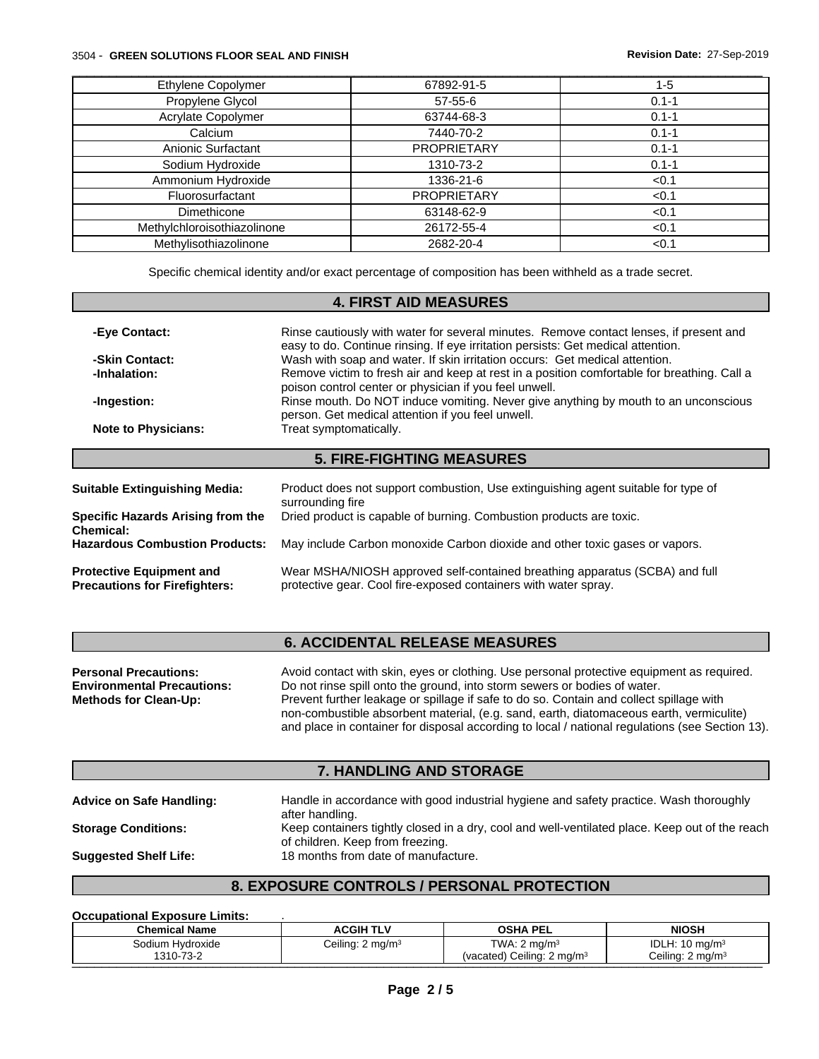#### 3504 - **GREEN SOLUTIONS FLOOR SEAL AND FINISH Revision Date:** 27-Sep-2019

| Ethylene Copolymer          | 67892-91-5         | 1-5       |
|-----------------------------|--------------------|-----------|
| Propylene Glycol            | $57 - 55 - 6$      | $0.1 - 1$ |
| Acrylate Copolymer          | 63744-68-3         | $0.1 - 1$ |
| Calcium                     | 7440-70-2          | $0.1 - 1$ |
| Anionic Surfactant          | <b>PROPRIETARY</b> | $0.1 - 1$ |
| Sodium Hydroxide            | 1310-73-2          | $0.1 - 1$ |
| Ammonium Hydroxide          | 1336-21-6          | < 0.1     |
| Fluorosurfactant            | <b>PROPRIETARY</b> | < 0.1     |
| Dimethicone                 | 63148-62-9         | < 0.1     |
| Methylchloroisothiazolinone | 26172-55-4         | < 0.1     |
| Methylisothiazolinone       | 2682-20-4          | < 0.1     |

Specific chemical identity and/or exact percentage of composition has been withheld as a trade secret.

# **4. FIRST AID MEASURES -Eye Contact:** Rinse cautiously with water for several minutes. Remove contact lenses, if present and easy to do. Continue rinsing. If eye irritation persists: Get medical attention. **-Skin Contact:** Wash with soap and water. If skin irritation occurs: Get medical attention. **-Inhalation:** Remove victim to fresh air and keep at rest in a position comfortable for breathing. Call a poison control center or physician if you feel unwell. **-Ingestion:** Rinse mouth. Do NOT induce vomiting. Never give anything by mouth to an unconscious person. Get medical attention if you feel unwell. **Note to Physicians:** Treat symptomatically. **5. FIRE-FIGHTING MEASURES Suitable Extinguishing Media:** Product does not support combustion, Use extinguishing agent suitable for type of surrounding fire **Specific Hazards Arising from the Chemical:** Dried product is capable of burning. Combustion products are toxic. May include Carbon monoxide Carbon dioxide and other toxic gases or vapors.

**Protective Equipment and Precautions for Firefighters:** Wear MSHA/NIOSH approved self-contained breathing apparatus (SCBA) and full protective gear. Cool fire-exposed containers with water spray.

## **6. ACCIDENTAL RELEASE MEASURES**

| <b>Personal Precautions:</b>      | Avoid contact with skin, eyes or clothing. Use personal protective equipment as required.       |
|-----------------------------------|-------------------------------------------------------------------------------------------------|
| <b>Environmental Precautions:</b> | Do not rinse spill onto the ground, into storm sewers or bodies of water.                       |
| <b>Methods for Clean-Up:</b>      | Prevent further leakage or spillage if safe to do so. Contain and collect spillage with         |
|                                   | non-combustible absorbent material, (e.g. sand, earth, diatomaceous earth, vermiculite)         |
|                                   | and place in container for disposal according to local / national regulations (see Section 13). |

### **7. HANDLING AND STORAGE**

**Advice on Safe Handling:** Handle in accordance with good industrial hygiene and safety practice. Wash thoroughly

**Storage Conditions:** Keep containers tightly closed in a dry, cool and well-ventilated place. Keep out of the reach

of children. Keep from freezing.

after handling.

**Suggested Shelf Life:** 18 months from date of manufacture.

# **8. EXPOSURE CONTROLS / PERSONAL PROTECTION**

**Occupational Exposure Limits:** .

| <b>Chemical Name</b>          | <b>ACGIH TLV</b>             | <b>OSHA PEL</b>                                                   | <b>NIOSH</b>                                                      |
|-------------------------------|------------------------------|-------------------------------------------------------------------|-------------------------------------------------------------------|
| Sodium Hvdroxide<br>1310-73-2 | Ceiling: 2 mg/m <sup>3</sup> | TWA: $2 \text{ mg/m}^3$<br>(vacated) Ceiling: 2 mg/m <sup>3</sup> | IDLH:<br>.1: 10 ma/m <sup>3</sup><br>Ceiling: 2 mg/m <sup>3</sup> |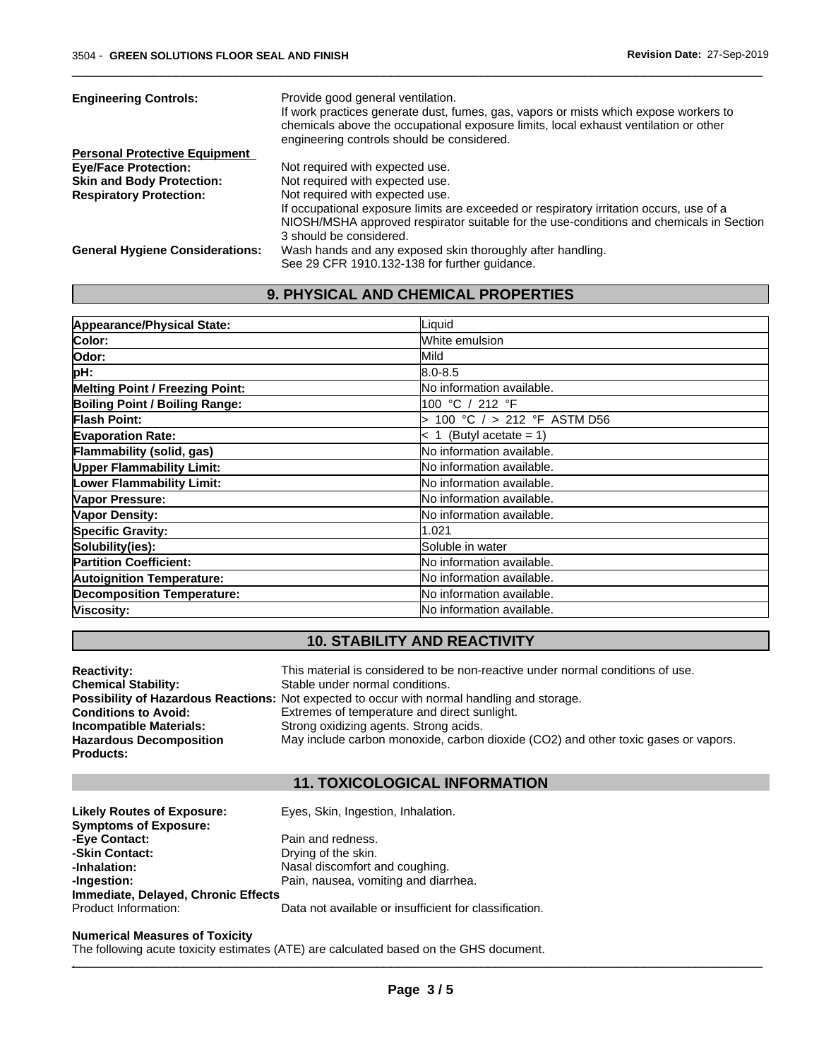| <b>Engineering Controls:</b>           | Provide good general ventilation.                                                       |
|----------------------------------------|-----------------------------------------------------------------------------------------|
|                                        | If work practices generate dust, fumes, gas, vapors or mists which expose workers to    |
|                                        | chemicals above the occupational exposure limits, local exhaust ventilation or other    |
|                                        | engineering controls should be considered.                                              |
| <b>Personal Protective Equipment</b>   |                                                                                         |
| <b>Eve/Face Protection:</b>            | Not required with expected use.                                                         |
| <b>Skin and Body Protection:</b>       | Not required with expected use.                                                         |
| <b>Respiratory Protection:</b>         | Not required with expected use.                                                         |
|                                        | If occupational exposure limits are exceeded or respiratory irritation occurs, use of a |
|                                        | NIOSH/MSHA approved respirator suitable for the use-conditions and chemicals in Section |
|                                        | 3 should be considered.                                                                 |
| <b>General Hygiene Considerations:</b> | Wash hands and any exposed skin thoroughly after handling.                              |
|                                        | See 29 CFR 1910.132-138 for further guidance.                                           |

 $\overline{\phantom{a}}$  ,  $\overline{\phantom{a}}$  ,  $\overline{\phantom{a}}$  ,  $\overline{\phantom{a}}$  ,  $\overline{\phantom{a}}$  ,  $\overline{\phantom{a}}$  ,  $\overline{\phantom{a}}$  ,  $\overline{\phantom{a}}$  ,  $\overline{\phantom{a}}$  ,  $\overline{\phantom{a}}$  ,  $\overline{\phantom{a}}$  ,  $\overline{\phantom{a}}$  ,  $\overline{\phantom{a}}$  ,  $\overline{\phantom{a}}$  ,  $\overline{\phantom{a}}$  ,  $\overline{\phantom{a}}$ 

# **9. PHYSICAL AND CHEMICAL PROPERTIES**

| Appearance/Physical State:             | Liquid                            |
|----------------------------------------|-----------------------------------|
| Color:                                 | White emulsion                    |
| lOdor:                                 | Mild                              |
| pH:                                    | l8.0-8.5                          |
| <b>Melting Point / Freezing Point:</b> | No information available.         |
| Boiling Point / Boiling Range:         | 100 °C / 212 °F                   |
| <b>Flash Point:</b>                    | 100 °C / > 212 °F ASTM D56        |
| <b>Evaporation Rate:</b>               | $< 1$ (Butyl acetate = 1)         |
| Flammability (solid, gas)              | No information available.         |
| <b>Upper Flammability Limit:</b>       | No information available.         |
| Lower Flammability Limit:              | <b>No information available.</b>  |
| Vapor Pressure:                        | <b>No information available.</b>  |
| Vapor Density:                         | <b>No information available.</b>  |
| <b>Specific Gravity:</b>               | 1.021                             |
| Solubility(ies):                       | Soluble in water                  |
| <b>Partition Coefficient:</b>          | <b>INo information available.</b> |
| <b>Autoignition Temperature:</b>       | <b>No information available.</b>  |
| <b>Decomposition Temperature:</b>      | No information available.         |
| Viscosity:                             | No information available.         |

# **10. STABILITY AND REACTIVITY**

| <b>Reactivity:</b>             | This material is considered to be non-reactive under normal conditions of use.              |
|--------------------------------|---------------------------------------------------------------------------------------------|
| <b>Chemical Stability:</b>     | Stable under normal conditions.                                                             |
|                                | Possibility of Hazardous Reactions: Not expected to occur with normal handling and storage. |
| <b>Conditions to Avoid:</b>    | Extremes of temperature and direct sunlight.                                                |
| <b>Incompatible Materials:</b> | Strong oxidizing agents. Strong acids.                                                      |
| <b>Hazardous Decomposition</b> | May include carbon monoxide, carbon dioxide (CO2) and other toxic gases or vapors.          |
| Products:                      |                                                                                             |

# **11. TOXICOLOGICAL INFORMATION**

Likely Routes of Exposure: Eyes, Skin, Ingestion, Inhalation. **Symptoms of Exposure: -Eye Contact:** Pain and redness.<br> **-Skin Contact:** Pain and redness. **-Skin Contact:** Drying of the skin.<br> **-Inhalation:** Drying of the skin.<br>
Nasal discomfort a **-Inhalation:** Nasal discomfort and coughing.<br> **-Ingestion:** Pain, nausea, vomiting and diar Pain, nausea, vomiting and diarrhea. **Immediate, Delayed, Chronic Effects** Data not available or insufficient for classification.

#### **Numerical Measures of Toxicity**

The following acute toxicity estimates (ATE) are calculated based on the GHS document. . The contribution of the contribution of  $\mathcal{S}$  ,  $\mathcal{S}$  ,  $\mathcal{S}$  ,  $\mathcal{S}$  ,  $\mathcal{S}$  ,  $\mathcal{S}$  ,  $\mathcal{S}$  ,  $\mathcal{S}$  ,  $\mathcal{S}$  ,  $\mathcal{S}$  ,  $\mathcal{S}$  ,  $\mathcal{S}$  ,  $\mathcal{S}$  ,  $\mathcal{S}$  ,  $\mathcal{S}$  ,  $\mathcal{S}$  ,  $\math$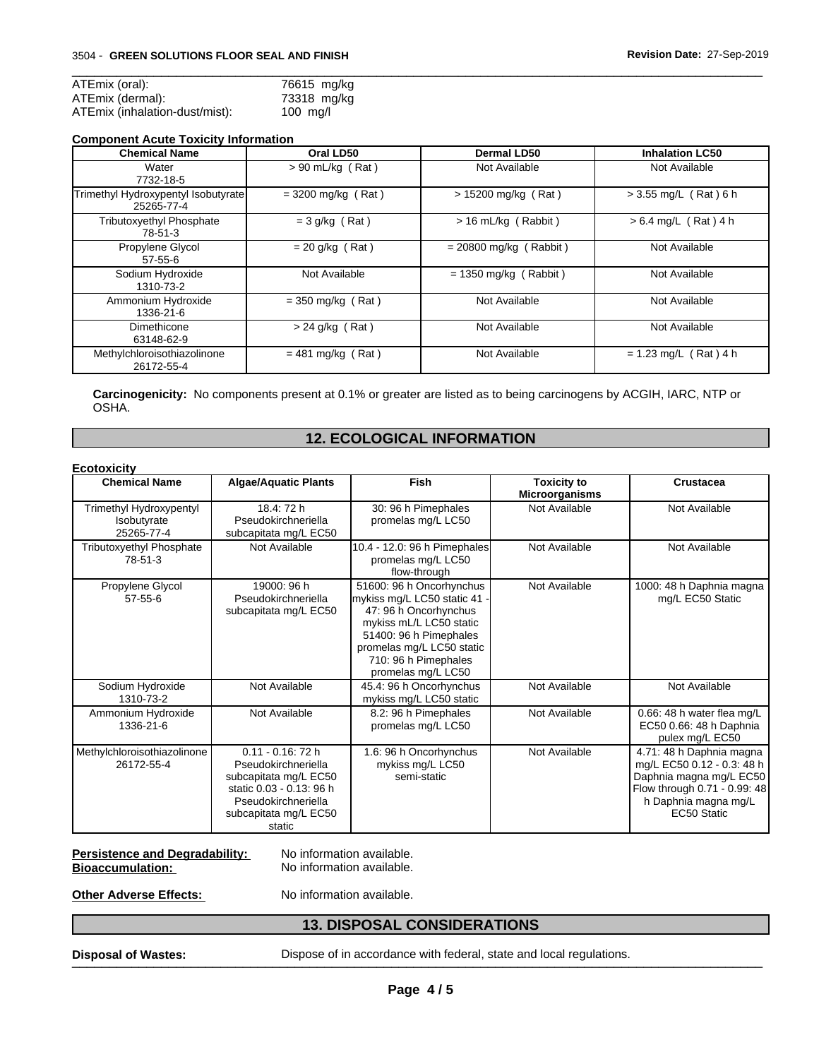| ATEmix (oral):                 | 76615 mg/kg     |
|--------------------------------|-----------------|
| ATEmix (dermal):               | 73318 mg/kg     |
| ATEmix (inhalation-dust/mist): | $100 \text{ m}$ |

#### **Component Acute Toxicity Information**

| <b>Chemical Name</b>                              | Oral LD50            | Dermal LD50              | <b>Inhalation LC50</b>  |
|---------------------------------------------------|----------------------|--------------------------|-------------------------|
| Water<br>7732-18-5                                | $> 90$ mL/kg (Rat)   | Not Available            | Not Available           |
| Trimethyl Hydroxypentyl Isobutyrate<br>25265-77-4 | $=$ 3200 mg/kg (Rat) | $> 15200$ mg/kg (Rat)    | $> 3.55$ mg/L (Rat) 6 h |
| <b>Tributoxyethyl Phosphate</b><br>78-51-3        | $= 3$ g/kg (Rat)     | $> 16$ mL/kg (Rabbit)    | $> 6.4$ mg/L (Rat) 4 h  |
| Propylene Glycol<br>$57 - 55 - 6$                 | $= 20$ g/kg (Rat)    | $= 20800$ mg/kg (Rabbit) | Not Available           |
| Sodium Hydroxide<br>1310-73-2                     | Not Available        | $= 1350$ mg/kg (Rabbit)  | Not Available           |
| Ammonium Hydroxide<br>1336-21-6                   | $=$ 350 mg/kg (Rat)  | Not Available            | Not Available           |
| Dimethicone<br>63148-62-9                         | $> 24$ g/kg (Rat)    | Not Available            | Not Available           |
| Methylchloroisothiazolinone<br>26172-55-4         | $= 481$ mg/kg (Rat)  | Not Available            | $= 1.23$ mg/L (Rat) 4 h |

 $\overline{\phantom{a}}$  ,  $\overline{\phantom{a}}$  ,  $\overline{\phantom{a}}$  ,  $\overline{\phantom{a}}$  ,  $\overline{\phantom{a}}$  ,  $\overline{\phantom{a}}$  ,  $\overline{\phantom{a}}$  ,  $\overline{\phantom{a}}$  ,  $\overline{\phantom{a}}$  ,  $\overline{\phantom{a}}$  ,  $\overline{\phantom{a}}$  ,  $\overline{\phantom{a}}$  ,  $\overline{\phantom{a}}$  ,  $\overline{\phantom{a}}$  ,  $\overline{\phantom{a}}$  ,  $\overline{\phantom{a}}$ 

**Carcinogenicity:** No components present at 0.1% or greater are listed as to being carcinogens by ACGIH, IARC, NTP or OSHA.

# **12. ECOLOGICAL INFORMATION**

| <b>Ecotoxicity</b>                                   |                                                                                                                                                            |                                                                                                                                                                                                                   |                                             |                                                                                                                                                          |
|------------------------------------------------------|------------------------------------------------------------------------------------------------------------------------------------------------------------|-------------------------------------------------------------------------------------------------------------------------------------------------------------------------------------------------------------------|---------------------------------------------|----------------------------------------------------------------------------------------------------------------------------------------------------------|
| <b>Chemical Name</b>                                 | <b>Algae/Aquatic Plants</b>                                                                                                                                | Fish                                                                                                                                                                                                              | <b>Toxicity to</b><br><b>Microorganisms</b> | <b>Crustacea</b>                                                                                                                                         |
| Trimethyl Hydroxypentyl<br>Isobutyrate<br>25265-77-4 | 18.4: 72 h<br>Pseudokirchneriella<br>subcapitata mg/L EC50                                                                                                 | 30: 96 h Pimephales<br>promelas mg/L LC50                                                                                                                                                                         | Not Available                               | Not Available                                                                                                                                            |
| <b>Tributoxyethyl Phosphate</b><br>78-51-3           | Not Available                                                                                                                                              | 10.4 - 12.0: 96 h Pimephales<br>promelas mg/L LC50<br>flow-through                                                                                                                                                | Not Available                               | Not Available                                                                                                                                            |
| Propylene Glycol<br>$57 - 55 - 6$                    | 19000: 96 h<br>Pseudokirchneriella<br>subcapitata mg/L EC50                                                                                                | 51600: 96 h Oncorhynchus<br>mykiss mg/L LC50 static 41 -<br>47: 96 h Oncorhynchus<br>mykiss mL/L LC50 static<br>51400: 96 h Pimephales<br>promelas mg/L LC50 static<br>710: 96 h Pimephales<br>promelas mg/L LC50 | Not Available                               | 1000: 48 h Daphnia magna<br>mg/L EC50 Static                                                                                                             |
| Sodium Hydroxide<br>1310-73-2                        | Not Available                                                                                                                                              | 45.4: 96 h Oncorhynchus<br>mykiss mg/L LC50 static                                                                                                                                                                | Not Available                               | Not Available                                                                                                                                            |
| Ammonium Hydroxide<br>1336-21-6                      | Not Available                                                                                                                                              | 8.2: 96 h Pimephales<br>promelas mg/L LC50                                                                                                                                                                        | Not Available                               | 0.66: 48 h water flea mg/L<br>EC50 0.66: 48 h Daphnia<br>pulex mg/L EC50                                                                                 |
| Methylchloroisothiazolinone<br>26172-55-4            | $0.11 - 0.16$ : 72 h<br>Pseudokirchneriella<br>subcapitata mg/L EC50<br>static 0.03 - 0.13: 96 h<br>Pseudokirchneriella<br>subcapitata mg/L EC50<br>static | 1.6: 96 h Oncorhynchus<br>mykiss mg/L LC50<br>semi-static                                                                                                                                                         | Not Available                               | 4.71: 48 h Daphnia magna<br>mg/L EC50 0.12 - 0.3: 48 h<br>Daphnia magna mg/L EC50<br>Flow through 0.71 - 0.99: 48<br>h Daphnia magna mg/L<br>EC50 Static |

### Persistence and Degradability: No information available. **Bioaccumulation:** No information available.

**Other Adverse Effects:** No information available.

# **13. DISPOSAL CONSIDERATIONS**

**Disposal of Wastes:** Dispose of in accordance with federal, state and local regulations.